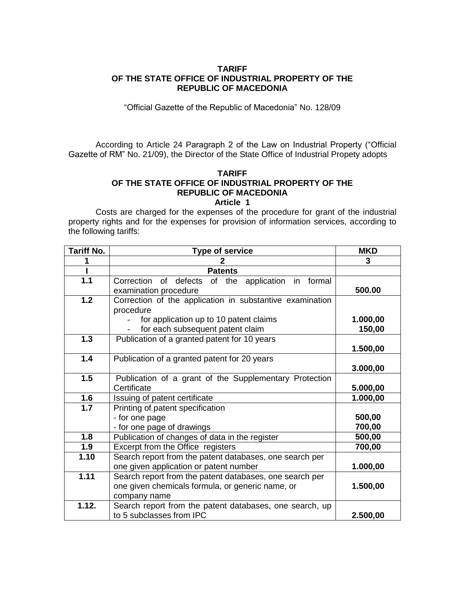# **TARIFF OF THE STATE OFFICE OF INDUSTRIAL PROPERTY OF THE REPUBLIC OF MACEDONIA**

"Official Gazette of the Republic of Macedonia" No. 128/09

According to Article 24 Paragraph 2 of the Law on Industrial Property ("Official Gazette of RM" No. 21/09), the Director of the State Office of Industrial Propety adopts

# **TARIFF OF THE STATE OFFICE OF INDUSTRIAL PROPERTY OF THE REPUBLIC OF MACEDONIA**

### **Article 1**

Costs are charged for the expenses of the procedure for grant of the industrial property rights and for the expenses for provision of information services, according to the following tariffs:

| <b>Tariff No.</b> | <b>Type of service</b>                                                                                                      | <b>MKD</b>         |
|-------------------|-----------------------------------------------------------------------------------------------------------------------------|--------------------|
|                   | 2                                                                                                                           | 3                  |
|                   | <b>Patents</b>                                                                                                              |                    |
| 1.1               | Correction of defects of the application in formal<br>examination procedure                                                 | 500.00             |
| 1.2               | Correction of the application in substantive examination<br>procedure                                                       |                    |
|                   | for application up to 10 patent claims<br>for each subsequent patent claim                                                  | 1.000,00<br>150,00 |
| 1.3               | Publication of a granted patent for 10 years                                                                                | 1.500,00           |
| 1.4               | Publication of a granted patent for 20 years                                                                                | 3.000,00           |
| 1.5               | Publication of a grant of the Supplementary Protection<br>Certificate                                                       | 5.000,00           |
| 1.6               | Issuing of patent certificate                                                                                               | 1.000,00           |
| 1.7               | Printing of patent specification<br>- for one page<br>- for one page of drawings                                            | 500,00<br>700,00   |
| 1.8               | Publication of changes of data in the register                                                                              | 500,00             |
| 1.9               | Excerpt from the Office registers                                                                                           | 700,00             |
| 1.10              | Search report from the patent databases, one search per<br>one given application or patent number                           | 1.000,00           |
| 1.11              | Search report from the patent databases, one search per<br>one given chemicals formula, or generic name, or<br>company name | 1.500,00           |
| 1.12.             | Search report from the patent databases, one search, up<br>to 5 subclasses from IPC                                         | 2.500,00           |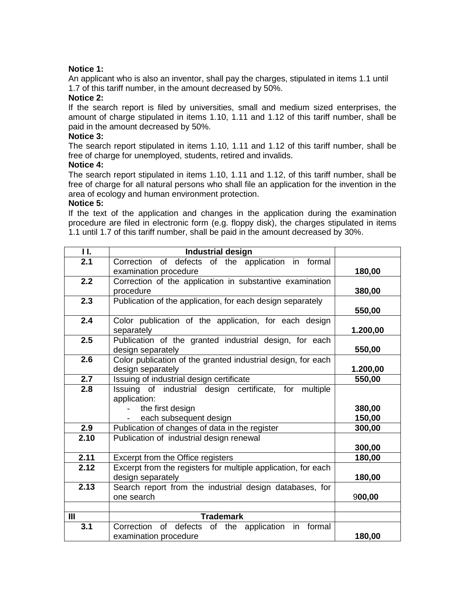# **Notice 1:**

An applicant who is also an inventor, shall pay the charges, stipulated in items 1.1 until 1.7 of this tariff number, in the amount decreased by 50%.

## **Notice 2:**

If the search report is filed by universities, small and medium sized enterprises, the amount of charge stipulated in items 1.10, 1.11 and 1.12 of this tariff number, shall be paid in the amount decreased by 50%.

## **Notice 3:**

The search report stipulated in items 1.10, 1.11 and 1.12 of this tariff number, shall be free of charge for unemployed, students, retired and invalids.

# **Notice 4:**

The search report stipulated in items 1.10, 1.11 and 1.12, of this tariff number, shall be free of charge for all natural persons who shall file an application for the invention in the area of ecology and human environment protection.

### **Notice 5:**

If the text of the application and changes in the application during the examination procedure are filed in electronic form (e.g. floppy disk), the charges stipulated in items 1.1 until 1.7 of this tariff number, shall be paid in the amount decreased by 30%.

| 11.            | Industrial design                                             |          |
|----------------|---------------------------------------------------------------|----------|
| 2.1            | Correction of defects of the application in formal            |          |
|                | examination procedure                                         | 180,00   |
| 2.2            | Correction of the application in substantive examination      |          |
|                | procedure                                                     | 380,00   |
| 2.3            | Publication of the application, for each design separately    |          |
|                |                                                               | 550,00   |
| 2.4            | Color publication of the application, for each design         |          |
|                | separately                                                    | 1.200,00 |
| 2.5            | Publication of the granted industrial design, for each        |          |
|                | design separately                                             | 550,00   |
| 2.6            | Color publication of the granted industrial design, for each  |          |
|                | design separately                                             | 1.200,00 |
| 2.7            | Issuing of industrial design certificate                      | 550,00   |
| 2.8            | Issuing of industrial design certificate, for multiple        |          |
|                | application:                                                  |          |
|                | the first design                                              | 380,00   |
|                | each subsequent design                                        | 150,00   |
| 2.9            | Publication of changes of data in the register                | 300,00   |
| 2.10           | Publication of industrial design renewal                      |          |
|                |                                                               | 300,00   |
| 2.11           | Excerpt from the Office registers                             | 180,00   |
| 2.12           | Excerpt from the registers for multiple application, for each |          |
|                | design separately                                             | 180,00   |
| 2.13           | Search report from the industrial design databases, for       |          |
|                | one search                                                    | 900,00   |
|                |                                                               |          |
| $\mathbf{III}$ | <b>Trademark</b>                                              |          |
| 3.1            | Correction of defects of the application<br>in<br>formal      |          |
|                | examination procedure                                         | 180,00   |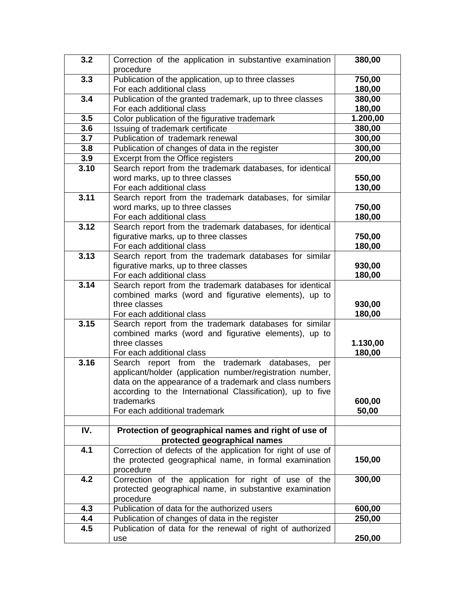| 3.2  | Correction of the application in substantive examination              | 380,00   |
|------|-----------------------------------------------------------------------|----------|
|      | procedure                                                             |          |
| 3.3  | Publication of the application, up to three classes                   | 750,00   |
|      | For each additional class                                             | 180,00   |
| 3.4  | Publication of the granted trademark, up to three classes             | 380,00   |
|      | For each additional class                                             | 180,00   |
| 3.5  | Color publication of the figurative trademark                         | 1.200,00 |
| 3.6  | Issuing of trademark certificate                                      | 380,00   |
| 3.7  | Publication of trademark renewal                                      | 300,00   |
| 3.8  | Publication of changes of data in the register                        | 300,00   |
| 3.9  | Excerpt from the Office registers                                     | 200,00   |
| 3.10 | Search report from the trademark databases, for identical             |          |
|      | word marks, up to three classes                                       | 550,00   |
|      | For each additional class                                             | 130,00   |
| 3.11 | Search report from the trademark databases, for similar               |          |
|      | word marks, up to three classes                                       | 750,00   |
|      | For each additional class                                             | 180,00   |
| 3.12 | Search report from the trademark databases, for identical             |          |
|      | figurative marks, up to three classes                                 | 750,00   |
|      | For each additional class                                             | 180,00   |
| 3.13 | Search report from the trademark databases for similar                |          |
|      | figurative marks, up to three classes                                 | 930,00   |
|      | For each additional class                                             | 180,00   |
| 3.14 | Search report from the trademark databases for identical              |          |
|      | combined marks (word and figurative elements), up to<br>three classes | 930,00   |
|      | For each additional class                                             | 180,00   |
| 3.15 | Search report from the trademark databases for similar                |          |
|      | combined marks (word and figurative elements), up to                  |          |
|      | three classes                                                         | 1.130,00 |
|      | For each additional class                                             | 180,00   |
| 3.16 | Search report from the trademark databases,<br>per                    |          |
|      | applicant/holder (application number/registration number,             |          |
|      | data on the appearance of a trademark and class numbers               |          |
|      | according to the International Classification), up to five            |          |
|      | trademarks                                                            | 600,00   |
|      | For each additional trademark                                         | 50,00    |
|      |                                                                       |          |
| IV.  | Protection of geographical names and right of use of                  |          |
|      | protected geographical names                                          |          |
| 4.1  | Correction of defects of the application for right of use of          |          |
|      | the protected geographical name, in formal examination                | 150,00   |
|      | procedure                                                             |          |
| 4.2  | Correction of the application for right of use of the                 | 300,00   |
|      | protected geographical name, in substantive examination               |          |
|      | procedure                                                             |          |
| 4.3  | Publication of data for the authorized users                          | 600,00   |
| 4.4  | Publication of changes of data in the register                        | 250,00   |
| 4.5  | Publication of data for the renewal of right of authorized            |          |
|      | use                                                                   | 250,00   |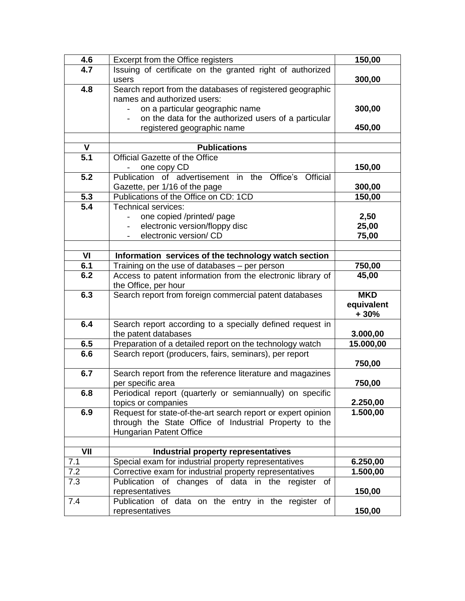| 4.6              | Excerpt from the Office registers                            | 150,00     |
|------------------|--------------------------------------------------------------|------------|
| 4.7              | Issuing of certificate on the granted right of authorized    |            |
|                  | users                                                        | 300,00     |
| 4.8              | Search report from the databases of registered geographic    |            |
|                  | names and authorized users:                                  |            |
|                  | on a particular geographic name                              | 300,00     |
|                  | on the data for the authorized users of a particular         |            |
|                  | registered geographic name                                   | 450,00     |
|                  |                                                              |            |
| $\mathsf{V}$     | <b>Publications</b>                                          |            |
| $\overline{5.1}$ | Official Gazette of the Office                               |            |
|                  | one copy CD                                                  | 150,00     |
| $\overline{5.2}$ | Publication of advertisement in the Office's Official        |            |
|                  | Gazette, per 1/16 of the page                                | 300,00     |
| 5.3              | Publications of the Office on CD: 1CD                        | 150,00     |
| 5.4              | Technical services:                                          |            |
|                  | one copied /printed/ page                                    | 2,50       |
|                  | electronic version/floppy disc                               | 25,00      |
|                  | electronic version/ CD                                       | 75,00      |
|                  |                                                              |            |
| VI               | Information services of the technology watch section         |            |
| 6.1              | Training on the use of databases - per person                | 750,00     |
| 6.2              | Access to patent information from the electronic library of  | 45,00      |
|                  | the Office, per hour                                         |            |
| 6.3              | Search report from foreign commercial patent databases       | <b>MKD</b> |
|                  |                                                              | equivalent |
|                  |                                                              | + 30%      |
| 6.4              | Search report according to a specially defined request in    |            |
|                  | the patent databases                                         | 3.000,00   |
| 6.5              | Preparation of a detailed report on the technology watch     | 15.000,00  |
| 6.6              | Search report (producers, fairs, seminars), per report       |            |
|                  |                                                              | 750,00     |
| 6.7              | Search report from the reference literature and magazines    |            |
|                  | per specific area                                            | 750,00     |
| 6.8              | Periodical report (quarterly or semiannually) on specific    |            |
|                  | topics or companies                                          | 2.250,00   |
| 6.9              | Request for state-of-the-art search report or expert opinion | 1.500,00   |
|                  | through the State Office of Industrial Property to the       |            |
|                  | Hungarian Patent Office                                      |            |
|                  |                                                              |            |
| VII              | Industrial property representatives                          |            |
| 7.1              | Special exam for industrial property representatives         | 6.250,00   |
| 7.2              | Corrective exam for industrial property representatives      | 1.500,00   |
| 7.3              | Publication of changes of data in the register<br>0f         |            |
|                  | representatives                                              | 150,00     |
| 7.4              | Publication of data on the entry in the register of          |            |
|                  | representatives                                              | 150,00     |